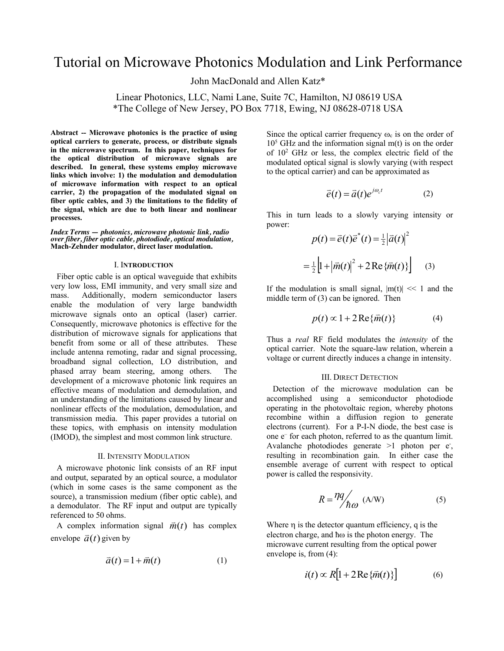# Tutorial on Microwave Photonics Modulation and Link Performance

John MacDonald and Allen Katz\*

Linear Photonics, LLC, Nami Lane, Suite 7C, Hamilton, NJ 08619 USA \*The College of New Jersey, PO Box 7718, Ewing, NJ 08628-0718 USA

**Abstract -- Microwave photonics is the practice of using optical carriers to generate, process, or distribute signals in the microwave spectrum. In this paper, techniques for the optical distribution of microwave signals are described. In general, these systems employ microwave links which involve: 1) the modulation and demodulation of microwave information with respect to an optical carrier, 2) the propagation of the modulated signal on fiber optic cables, and 3) the limitations to the fidelity of the signal, which are due to both linear and nonlinear processes.**

*Index Terms — photonics, microwave photonic link, radio over fiber, fiber optic cable, photodiode, optical modulation,*  **Mach-Zehnder modulator, direct laser modulation.** 

## I. I**NTRODUCTION**

 Fiber optic cable is an optical waveguide that exhibits very low loss, EMI immunity, and very small size and mass. Additionally, modern semiconductor lasers enable the modulation of very large bandwidth microwave signals onto an optical (laser) carrier. Consequently, microwave photonics is effective for the distribution of microwave signals for applications that benefit from some or all of these attributes. These include antenna remoting, radar and signal processing, broadband signal collection, LO distribution, and phased array beam steering, among others. The development of a microwave photonic link requires an effective means of modulation and demodulation, and an understanding of the limitations caused by linear and nonlinear effects of the modulation, demodulation, and transmission media. This paper provides a tutorial on these topics, with emphasis on intensity modulation (IMOD), the simplest and most common link structure.

#### II. INTENSITY MODULATION

 A microwave photonic link consists of an RF input and output, separated by an optical source, a modulator (which in some cases is the same component as the source), a transmission medium (fiber optic cable), and a demodulator. The RF input and output are typically referenced to 50 ohms.

A complex information signal  $\vec{m}(t)$  has complex envelope  $\vec{a}(t)$  given by

$$
\vec{a}(t) = 1 + \vec{m}(t) \tag{1}
$$

Since the optical carrier frequency  $\omega_c$  is on the order of  $10<sup>5</sup>$  GHz and the information signal m(t) is on the order of 102 GHz or less, the complex electric field of the modulated optical signal is slowly varying (with respect to the optical carrier) and can be approximated as

$$
\vec{e}(t) = \vec{a}(t)e^{j\omega_c t} \tag{2}
$$

This in turn leads to a slowly varying intensity or power:

$$
p(t) = \vec{e}(t)\vec{e}^*(t) = \frac{1}{2} |\vec{a}(t)|^2
$$

$$
= \frac{1}{2} \left[ 1 + |\vec{m}(t)|^2 + 2 \operatorname{Re} {\{\vec{m}(t)\}} \right] \qquad (3)
$$

If the modulation is small signal,  $|m(t)| \ll 1$  and the middle term of (3) can be ignored. Then

$$
p(t) \propto 1 + 2\operatorname{Re}\{\vec{m}(t)\}\tag{4}
$$

Thus a *real* RF field modulates the *intensity* of the optical carrier. Note the square-law relation, wherein a voltage or current directly induces a change in intensity.

#### III. DIRECT DETECTION

 Detection of the microwave modulation can be accomplished using a semiconductor photodiode operating in the photovoltaic region, whereby photons recombine within a diffusion region to generate electrons (current). For a P-I-N diode, the best case is one e– for each photon, referred to as the quantum limit. Avalanche photodiodes generate >1 photon per e<sup>-</sup>, resulting in recombination gain. In either case the ensemble average of current with respect to optical power is called the responsivity.

$$
R = \frac{\eta q}{\hbar \omega} \text{ (A/W)} \tag{5}
$$

Where  $\eta$  is the detector quantum efficiency, q is the electron charge, and  $\hbar \omega$  is the photon energy. The microwave current resulting from the optical power envelope is, from (4):

$$
i(t) \propto R[1 + 2\operatorname{Re}\left\{\bar{m}(t)\right\}] \tag{6}
$$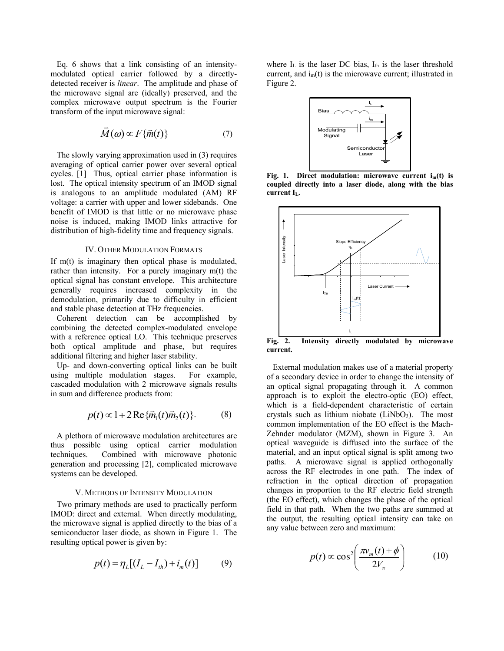Eq. 6 shows that a link consisting of an intensitymodulated optical carrier followed by a directlydetected receiver is *linear*. The amplitude and phase of the microwave signal are (ideally) preserved, and the complex microwave output spectrum is the Fourier transform of the input microwave signal:

$$
\vec{M}(\omega) \propto F\{\vec{m}(t)\}\tag{7}
$$

 The slowly varying approximation used in (3) requires averaging of optical carrier power over several optical cycles. [1] Thus, optical carrier phase information is lost. The optical intensity spectrum of an IMOD signal is analogous to an amplitude modulated (AM) RF voltage: a carrier with upper and lower sidebands. One benefit of IMOD is that little or no microwave phase noise is induced, making IMOD links attractive for distribution of high-fidelity time and frequency signals.

## IV. OTHER MODULATION FORMATS

If m(t) is imaginary then optical phase is modulated, rather than intensity. For a purely imaginary m(t) the optical signal has constant envelope. This architecture generally requires increased complexity in the demodulation, primarily due to difficulty in efficient and stable phase detection at THz frequencies.

 Coherent detection can be accomplished by combining the detected complex-modulated envelope with a reference optical LO. This technique preserves both optical amplitude and phase, but requires additional filtering and higher laser stability.

 Up- and down-converting optical links can be built using multiple modulation stages. For example, cascaded modulation with 2 microwave signals results in sum and difference products from:

$$
p(t) \propto 1 + 2 \operatorname{Re} \{ \overline{m}_1(t) \overline{m}_2(t) \}.
$$
 (8)

 A plethora of microwave modulation architectures are thus possible using optical carrier modulation techniques. Combined with microwave photonic generation and processing [2], complicated microwave systems can be developed.

## V. METHODS OF INTENSITY MODULATION

 Two primary methods are used to practically perform IMOD: direct and external. When directly modulating, the microwave signal is applied directly to the bias of a semiconductor laser diode, as shown in Figure 1. The resulting optical power is given by:

$$
p(t) = \eta_L [(I_L - I_{th}) + i_m(t)] \tag{9}
$$

where  $I_L$  is the laser DC bias,  $I_{th}$  is the laser threshold current, and  $i_m(t)$  is the microwave current; illustrated in Figure 2.



Fig. 1. Direct modulation: microwave current i<sub>m</sub>(t) is **coupled directly into a laser diode, along with the bias**  current I<sub>L</sub>.



**current.**

 External modulation makes use of a material property of a secondary device in order to change the intensity of an optical signal propagating through it. A common approach is to exploit the electro-optic (EO) effect, which is a field-dependent characteristic of certain crystals such as lithium niobate  $(LiNbO<sub>3</sub>)$ . The most common implementation of the EO effect is the Mach-Zehnder modulator (MZM), shown in Figure 3. An optical waveguide is diffused into the surface of the material, and an input optical signal is split among two paths. A microwave signal is applied orthogonally across the RF electrodes in one path. The index of refraction in the optical direction of propagation changes in proportion to the RF electric field strength (the EO effect), which changes the phase of the optical field in that path. When the two paths are summed at the output, the resulting optical intensity can take on any value between zero and maximum:

$$
p(t) \propto \cos^2\left(\frac{\pi v_m(t) + \phi}{2V_\pi}\right) \tag{10}
$$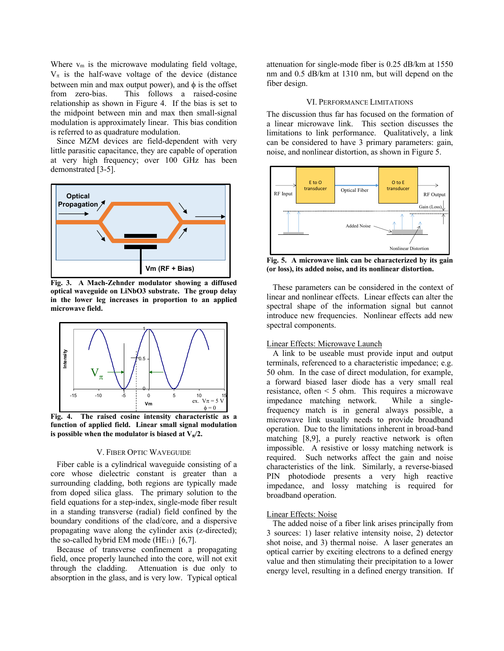Where  $v_m$  is the microwave modulating field voltage,  $V_{\pi}$  is the half-wave voltage of the device (distance between min and max output power), and  $\phi$  is the offset from zero-bias. This follows a raised-cosine relationship as shown in Figure 4. If the bias is set to the midpoint between min and max then small-signal modulation is approximately linear. This bias condition is referred to as quadrature modulation.

 Since MZM devices are field-dependent with very little parasitic capacitance, they are capable of operation at very high frequency; over 100 GHz has been demonstrated [3-5].



**Fig. 3. A Mach-Zehnder modulator showing a diffused optical waveguide on LiNbO3 substrate. The group delay in the lower leg increases in proportion to an applied microwave field.** 



**Fig. 4. The raised cosine intensity characteristic as a**  function of applied field. Linear small signal modulation is possible when the modulator is biased at  $V_{\pi}/2$ .

# V. FIBER OPTIC WAVEGUIDE

 Fiber cable is a cylindrical waveguide consisting of a core whose dielectric constant is greater than a surrounding cladding, both regions are typically made from doped silica glass. The primary solution to the field equations for a step-index, single-mode fiber result in a standing transverse (radial) field confined by the boundary conditions of the clad/core, and a dispersive propagating wave along the cylinder axis (z-directed); the so-called hybrid EM mode  $(HE_{11})$  [6,7].

 Because of transverse confinement a propagating field, once properly launched into the core, will not exit through the cladding. Attenuation is due only to absorption in the glass, and is very low. Typical optical attenuation for single-mode fiber is 0.25 dB/km at 1550 nm and 0.5 dB/km at 1310 nm, but will depend on the fiber design.

## VI. PERFORMANCE LIMITATIONS

The discussion thus far has focused on the formation of a linear microwave link. This section discusses the limitations to link performance. Qualitatively, a link can be considered to have 3 primary parameters: gain, noise, and nonlinear distortion, as shown in Figure 5.



**Fig. 5. A microwave link can be characterized by its gain (or loss), its added noise, and its nonlinear distortion.** 

 These parameters can be considered in the context of linear and nonlinear effects. Linear effects can alter the spectral shape of the information signal but cannot introduce new frequencies. Nonlinear effects add new spectral components.

# Linear Effects: Microwave Launch

 A link to be useable must provide input and output terminals, referenced to a characteristic impedance; e.g. 50 ohm. In the case of direct modulation, for example, a forward biased laser diode has a very small real resistance, often < 5 ohm. This requires a microwave impedance matching network. While a singlefrequency match is in general always possible, a microwave link usually needs to provide broadband operation. Due to the limitations inherent in broad-band matching [8,9], a purely reactive network is often impossible. A resistive or lossy matching network is required. Such networks affect the gain and noise characteristics of the link. Similarly, a reverse-biased PIN photodiode presents a very high reactive impedance, and lossy matching is required for broadband operation.

## Linear Effects: Noise

 The added noise of a fiber link arises principally from 3 sources: 1) laser relative intensity noise, 2) detector shot noise, and 3) thermal noise. A laser generates an optical carrier by exciting electrons to a defined energy value and then stimulating their precipitation to a lower energy level, resulting in a defined energy transition. If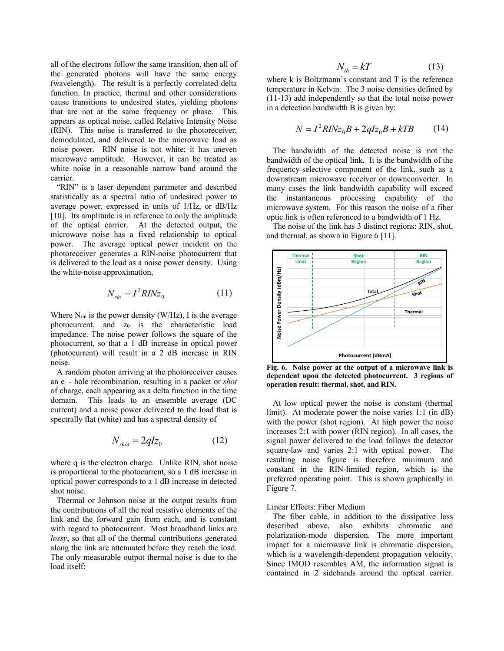all of the electrons follow the same transition, then all of the generated photons will have the same energy (wavelength). The result is a perfectly correlated delta function. In practice, thermal and other considerations cause transitions to undesired states, yielding photons that are not at the same frequency or phase. This appears as optical noise, called Relative Intensity Noise (RIN). This noise is transferred to the photoreceiver, demodulated, and delivered to the microwave load as noise power. RIN noise is not white; it has uneven microwave amplitude. However, it can be treated as white noise in a reasonable narrow band around the carrier.

 "RIN" is a laser dependent parameter and described statistically as a spectral ratio of undesired power to average power, expressed in units of 1/Hz, or dB/Hz [10]. Its amplitude is in reference to only the amplitude of the optical carrier. At the detected output, the microwave noise has a fixed relationship to optical power. The average optical power incident on the photoreceiver generates a RIN-noise photocurrent that is delivered to the load as a noise power density. Using the white-noise approximation,

$$
N_{\rm r\dot{m}} = I^2 R I N z_0 \tag{11}
$$

Where  $N_{\text{rin}}$  is the power density (W/Hz), I is the average photocurrent, and z<sub>0</sub> is the characteristic load impedance. The noise power follows the square of the photocurrent, so that a 1 dB increase in optical power (photocurrent) will result in a 2 dB increase in RIN noise.

 A random photon arriving at the photoreceiver causes an e- - hole recombination, resulting in a packet or *shot* of charge, each appearing as a delta function in the time domain. This leads to an ensemble average (DC current) and a noise power delivered to the load that is spectrally flat (white) and has a spectral density of

$$
N_{shot} = 2qIz_0 \tag{12}
$$

where q is the electron charge. Unlike RIN, shot noise is proportional to the photocurrent, so a 1 dB increase in optical power corresponds to a 1 dB increase in detected shot noise.

 Thermal or Johnson noise at the output results from the contributions of all the real resistive elements of the link and the forward gain from each, and is constant with regard to photocurrent. Most broadband links are *lossy*, so that all of the thermal contributions generated along the link are attenuated before they reach the load. The only measurable output thermal noise is due to the load itself:

$$
N_{th} = kT \tag{13}
$$

where k is Boltzmann's constant and T is the reference temperature in Kelvin. The 3 noise densities defined by (11-13) add independently so that the total noise power in a detection bandwidth B is given by:

$$
N = I2 R I N z0 B + 2q I z0 B + k T B
$$
 (14)

 The bandwidth of the detected noise is not the bandwidth of the optical link. It is the bandwidth of the frequency-selective component of the link, such as a downstream microwave receiver or downconverter. In many cases the link bandwidth capability will exceed the instantaneous processing capability of the microwave system. For this reason the noise of a fiber optic link is often referenced to a bandwidth of 1 Hz.

 The noise of the link has 3 distinct regions: RIN, shot, and thermal, as shown in Figure 6 [11].



**Fig. 6. Noise power at the output of a microwave link is dependent upon the detected photocurrent. 3 regions of operation result: thermal, shot, and RIN.** 

 At low optical power the noise is constant (thermal limit). At moderate power the noise varies 1:1 (in dB) with the power (shot region). At high power the noise increases 2:1 with power (RIN region). In all cases, the signal power delivered to the load follows the detector square-law and varies 2:1 with optical power. The resulting noise figure is therefore minimum and constant in the RIN-limited region, which is the preferred operating point. This is shown graphically in Figure 7.

# Linear Effects: Fiber Medium

 The fiber cable, in addition to the dissipative loss described above, also exhibits chromatic and polarization-mode dispersion. The more important impact for a microwave link is chromatic dispersion, which is a wavelength-dependent propagation velocity. Since IMOD resembles AM, the information signal is contained in 2 sidebands around the optical carrier.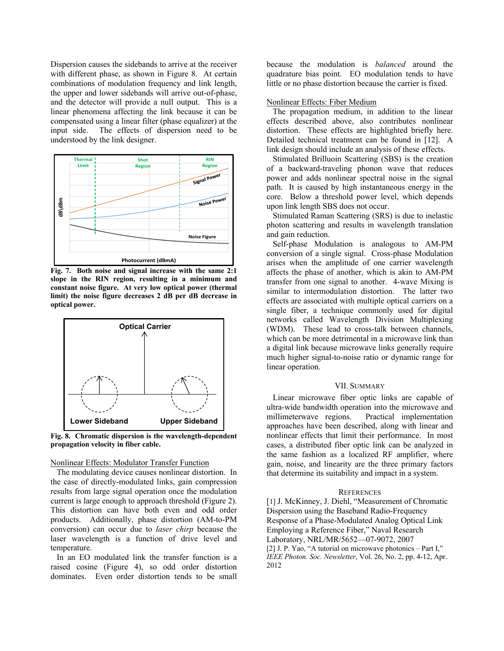Dispersion causes the sidebands to arrive at the receiver with different phase, as shown in Figure 8. At certain combinations of modulation frequency and link length, the upper and lower sidebands will arrive out-of-phase, and the detector will provide a null output. This is a linear phenomena affecting the link because it can be compensated using a linear filter (phase equalizer) at the input side. The effects of dispersion need to be understood by the link designer.



**Fig. 7. Both noise and signal increase with the same 2:1 slope in the RIN region, resulting in a minimum and constant noise figure. At very low optical power (thermal limit) the noise figure decreases 2 dB per dB decrease in optical power.**



**Fig. 8. Chromatic dispersion is the wavelength-dependent propagation velocity in fiber cable.**

## Nonlinear Effects: Modulator Transfer Function

 The modulating device causes nonlinear distortion. In the case of directly-modulated links, gain compression results from large signal operation once the modulation current is large enough to approach threshold (Figure 2). This distortion can have both even and odd order products. Additionally, phase distortion (AM-to-PM conversion) can occur due to *laser chirp* because the laser wavelength is a function of drive level and temperature.

 In an EO modulated link the transfer function is a raised cosine (Figure 4), so odd order distortion dominates. Even order distortion tends to be small because the modulation is *balanced* around the quadrature bias point. EO modulation tends to have little or no phase distortion because the carrier is fixed.

## Nonlinear Effects: Fiber Medium

 The propagation medium, in addition to the linear effects described above, also contributes nonlinear distortion. These effects are highlighted briefly here. Detailed technical treatment can be found in [12]. A link design should include an analysis of these effects.

 Stimulated Brilluoin Scattering (SBS) is the creation of a backward-traveling phonon wave that reduces power and adds nonlinear spectral noise in the signal path. It is caused by high instantaneous energy in the core. Below a threshold power level, which depends upon link length SBS does not occur.

 Stimulated Raman Scattering (SRS) is due to inelastic photon scattering and results in wavelength translation and gain reduction.

 Self-phase Modulation is analogous to AM-PM conversion of a single signal. Cross-phase Modulation arises when the amplitude of one carrier wavelength affects the phase of another, which is akin to AM-PM transfer from one signal to another. 4-wave Mixing is similar to intermodulation distortion. The latter two effects are associated with multiple optical carriers on a single fiber, a technique commonly used for digital networks called Wavelength Division Multiplexing (WDM). These lead to cross-talk between channels, which can be more detrimental in a microwave link than a digital link because microwave links generally require much higher signal-to-noise ratio or dynamic range for linear operation.

## VII. SUMMARY

 Linear microwave fiber optic links are capable of ultra-wide bandwidth operation into the microwave and millimeterwave regions. Practical implementation approaches have been described, along with linear and nonlinear effects that limit their performance. In most cases, a distributed fiber optic link can be analyzed in the same fashion as a localized RF amplifier, where gain, noise, and linearity are the three primary factors that determine its suitability and impact in a system.

## **REFERENCES**

[1] J. McKinney, J. Diehl, "Measurement of Chromatic Dispersion using the Baseband Radio-Frequency Response of a Phase-Modulated Analog Optical Link Employing a Reference Fiber," Naval Research Laboratory, NRL/MR/5652—07-9072, 2007 [2] J. P. Yao, "A tutorial on microwave photonics – Part I," *IEEE Photon. Soc. Newsletter*, Vol. 26, No. 2, pp. 4-12, Apr. 2012